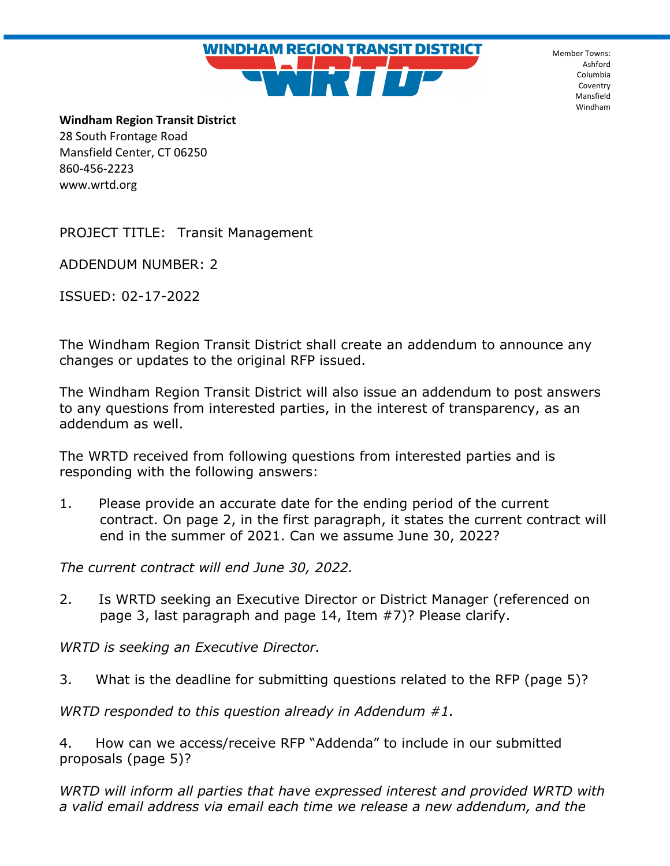**WINDHAM REGION TRANSIT DISTRICT** 

Member Towns: Ashford Columbia Coventry Mansfield Windham

**Windham Region Transit District** 28 South Frontage Road Mansfield Center, CT 06250 860-456-2223 www.wrtd.org

PROJECT TITLE: Transit Management

ADDENDUM NUMBER: 2

ISSUED: 02-17-2022

The Windham Region Transit District shall create an addendum to announce any changes or updates to the original RFP issued.

The Windham Region Transit District will also issue an addendum to post answers to any questions from interested parties, in the interest of transparency, as an addendum as well.

The WRTD received from following questions from interested parties and is responding with the following answers:

1. Please provide an accurate date for the ending period of the current contract. On page 2, in the first paragraph, it states the current contract will end in the summer of 2021. Can we assume June 30, 2022?

*The current contract will end June 30, 2022.* 

2. Is WRTD seeking an Executive Director or District Manager (referenced on page 3, last paragraph and page 14, Item #7)? Please clarify.

*WRTD is seeking an Executive Director.* 

3. What is the deadline for submitting questions related to the RFP (page 5)?

*WRTD responded to this question already in Addendum #1.* 

4. How can we access/receive RFP "Addenda" to include in our submitted proposals (page 5)?

*WRTD will inform all parties that have expressed interest and provided WRTD with a valid email address via email each time we release a new addendum, and the*